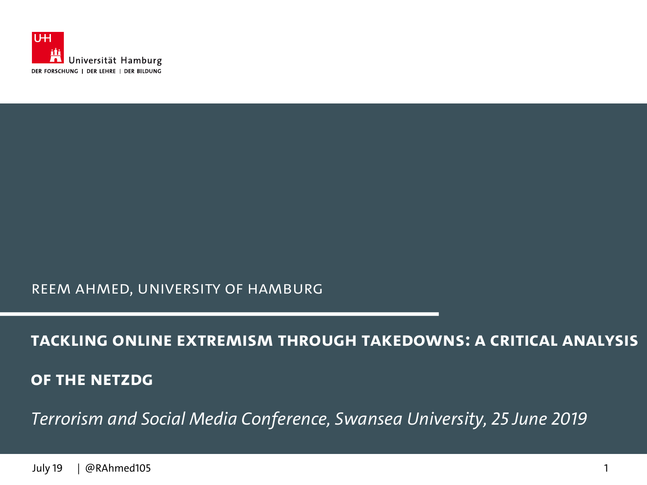

#### Reem Ahmed, University of Hamburg

#### **Tackling Online Extremism through Takedowns: A Critical Analysis**

**of the NetzDG**

*Terrorism and Social Media Conference, Swansea University, 25 June 2019*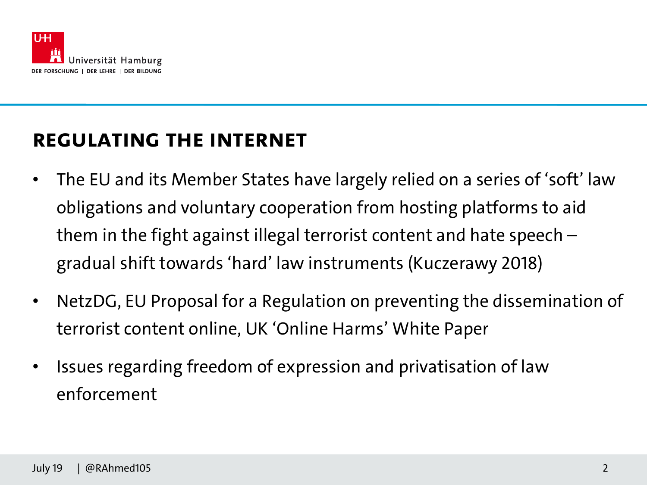

#### **Regulating the Internet**

- The EU and its Member States have largely relied on a series of 'soft' law obligations and voluntary cooperation from hosting platforms to aid them in the fight against illegal terrorist content and hate speech – gradual shift towards 'hard' law instruments (Kuczerawy 2018)
- NetzDG, EU Proposal for a Regulation on preventing the dissemination of terrorist content online, UK 'Online Harms' White Paper
- Issues regarding freedom of expression and privatisation of law enforcement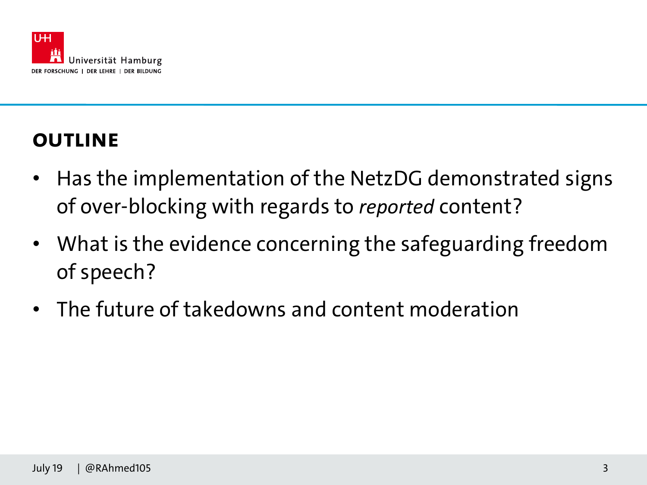

# **Outline**

- Has the implementation of the NetzDG demonstrated signs of over-blocking with regards to *reported* content?
- What is the evidence concerning the safeguarding freedom of speech?
- The future of takedowns and content moderation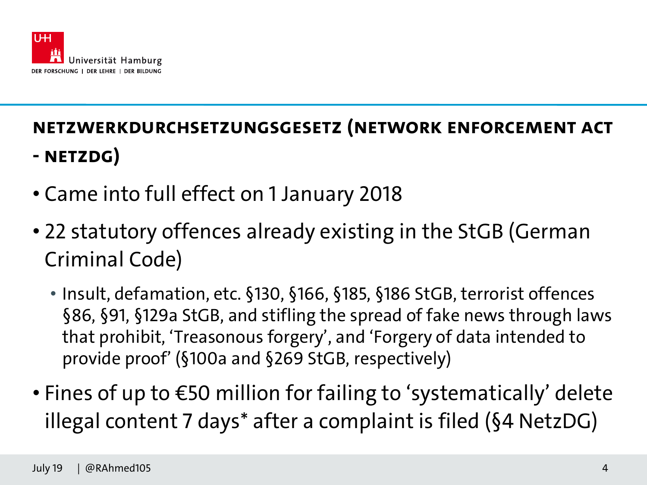

# **Netzwerkdurchsetzungsgesetz (Network Enforcement Act - NetzDG)**

- Came into full effect on 1 January 2018
- 22 statutory offences already existing in the StGB (German Criminal Code)
	- Insult, defamation, etc. §130, §166, §185, §186 StGB, terrorist offences §86, §91, §129a StGB, and stifling the spread of fake news through laws that prohibit, 'Treasonous forgery', and 'Forgery of data intended to provide proof' (§100a and §269 StGB, respectively)
- Fines of up to €50 million for failing to 'systematically' delete illegal content 7 days\* after a complaint is filed (§4 NetzDG)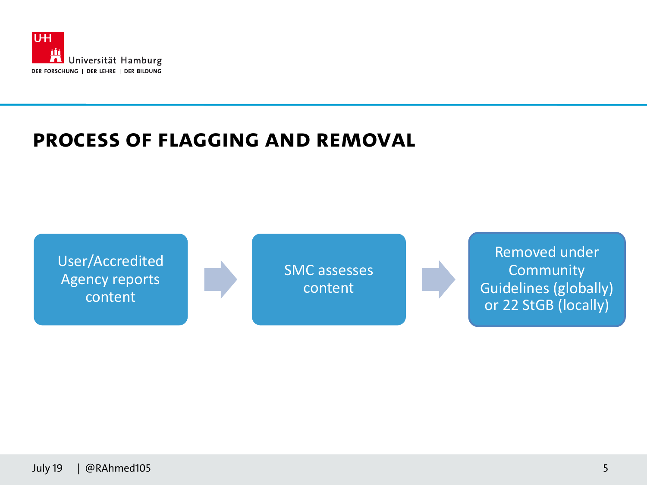

#### **Process of Flagging and Removal**

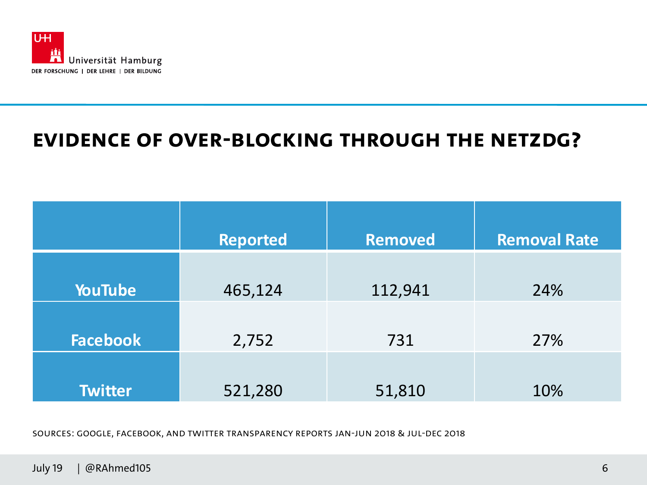

#### **Evidence of Over-blocking through the NetZDG?**

|                 | <b>Reported</b> | <b>Removed</b> | <b>Removal Rate</b> |
|-----------------|-----------------|----------------|---------------------|
| <b>YouTube</b>  | 465,124         | 112,941        | 24%                 |
| <b>Facebook</b> | 2,752           | 731            | 27%                 |
| <b>Twitter</b>  | 521,280         | 51,810         | 10%                 |

Sources: Google, Facebook, and Twitter Transparency Reports Jan-Jun 2018 & Jul-Dec 2018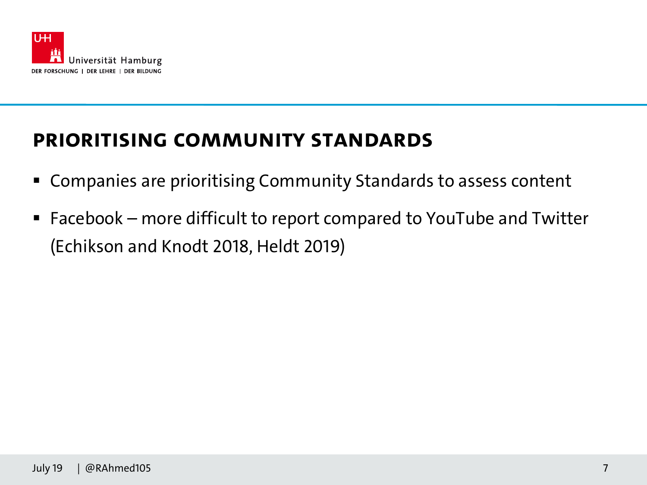

### **Prioritising Community Standards**

- Companies are prioritising Community Standards to assess content
- Facebook more difficult to report compared to YouTube and Twitter (Echikson and Knodt 2018, Heldt 2019)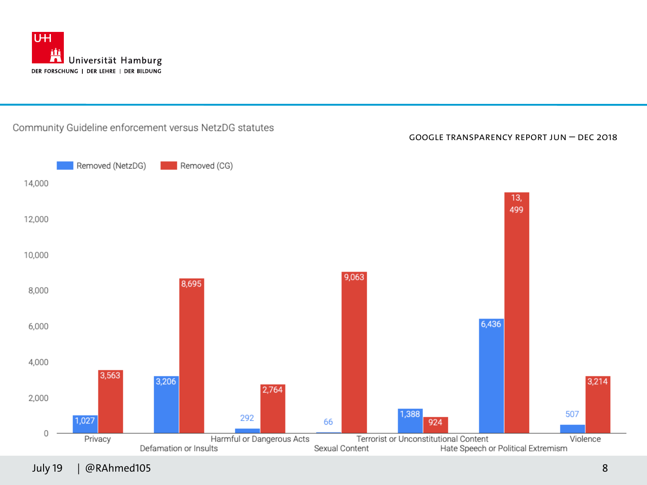

#### Community Guideline enforcement versus NetzDG statutes

Google Transparency Report Jun – Dec 2018



July 19 | @RAhmed105 8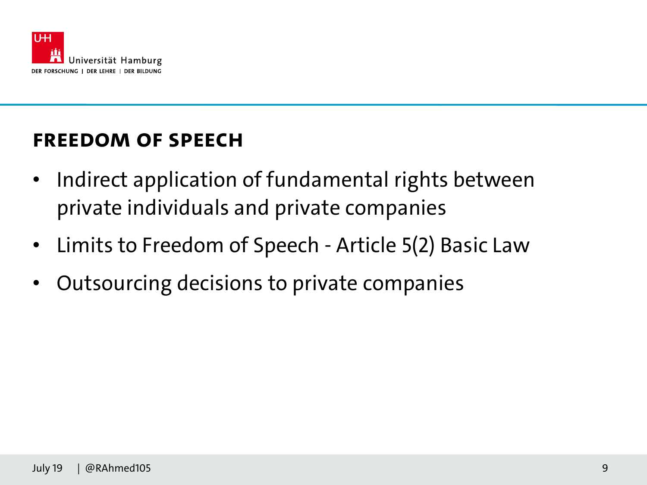

### **Freedom of Speech**

- Indirect application of fundamental rights between private individuals and private companies
- Limits to Freedom of Speech Article 5(2) Basic Law
- Outsourcing decisions to private companies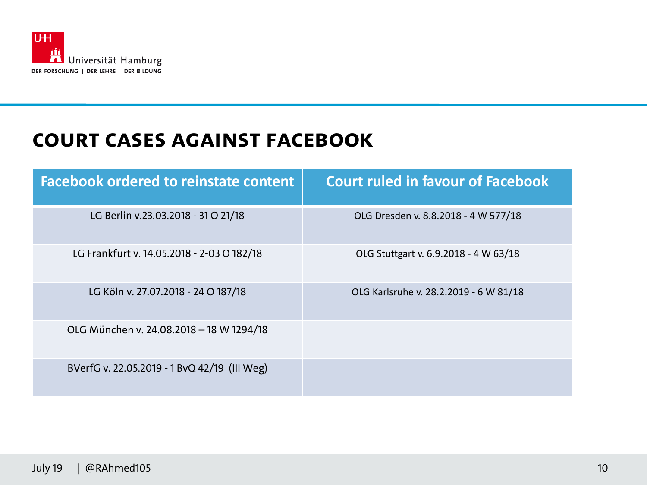

#### **Court Cases against Facebook**

| <b>Facebook ordered to reinstate content</b> | <b>Court ruled in favour of Facebook</b> |
|----------------------------------------------|------------------------------------------|
| LG Berlin v.23.03.2018 - 31 O 21/18          | OLG Dresden v. 8.8.2018 - 4 W 577/18     |
| LG Frankfurt v. 14.05.2018 - 2-03 O 182/18   | OLG Stuttgart v. 6.9.2018 - 4 W 63/18    |
| LG Köln v. 27.07.2018 - 24 O 187/18          | OLG Karlsruhe v. 28.2.2019 - 6 W 81/18   |
| OLG München v. 24.08.2018 - 18 W 1294/18     |                                          |
| BVerfG v. 22.05.2019 - 1 BvQ 42/19 (III Weg) |                                          |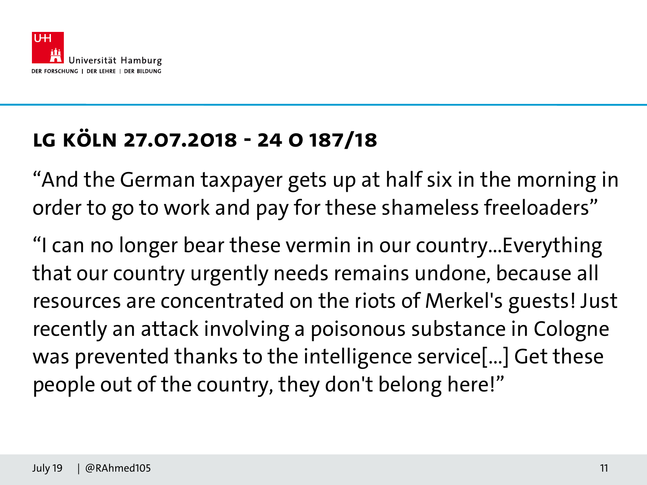

# **LG Köln 27.07.2018 - 24 O 187/18**

"And the German taxpayer gets up at half six in the morning in order to go to work and pay for these shameless freeloaders"

"I can no longer bear these vermin in our country...Everything that our country urgently needs remains undone, because all resources are concentrated on the riots of Merkel's guests! Just recently an attack involving a poisonous substance in Cologne was prevented thanks to the intelligence service[...] Get these people out of the country, they don't belong here!"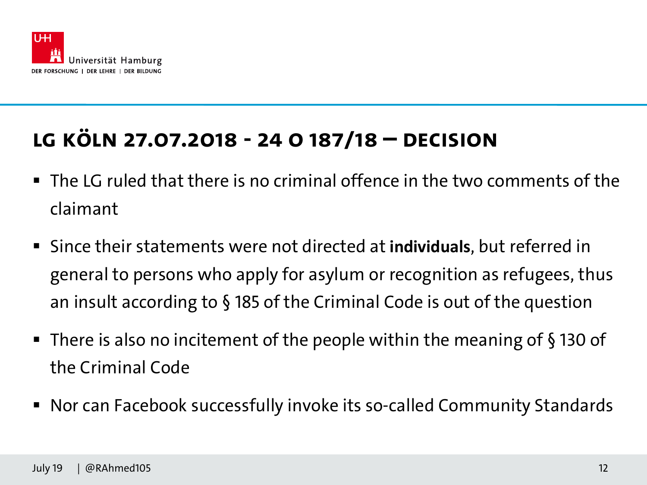

# **LG Köln 27.07.2018 - 24 O 187/18 – Decision**

- $\blacksquare$  The LG ruled that there is no criminal offence in the two comments of the claimant
- Since their statements were not directed at **individuals**, but referred in general to persons who apply for asylum or recognition as refugees, thus an insult according to § 185 of the Criminal Code is out of the question
- There is also no incitement of the people within the meaning of §130 of the Criminal Code
- Nor can Facebook successfully invoke its so-called Community Standards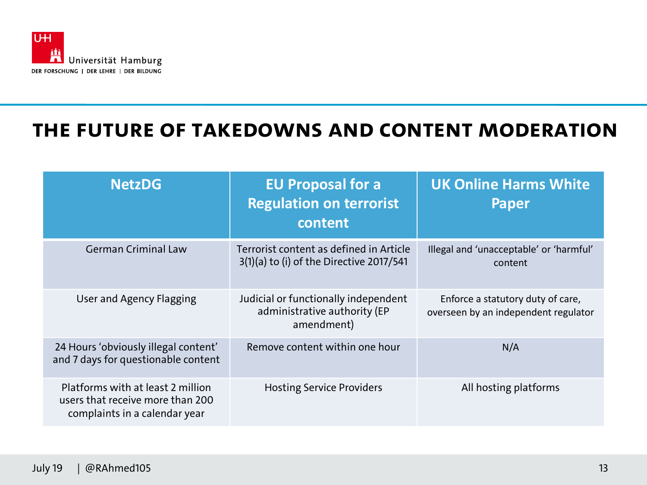

#### **The Future of Takedowns and Content Moderation**

| <b>NetzDG</b>                                                                                          | <b>EU Proposal for a</b><br><b>Regulation on terrorist</b><br>content                 | <b>UK Online Harms White</b><br><b>Paper</b>                              |
|--------------------------------------------------------------------------------------------------------|---------------------------------------------------------------------------------------|---------------------------------------------------------------------------|
| <b>German Criminal Law</b>                                                                             | Terrorist content as defined in Article<br>$3(1)(a)$ to (i) of the Directive 2017/541 | Illegal and 'unacceptable' or 'harmful'<br>content                        |
| User and Agency Flagging                                                                               | Judicial or functionally independent<br>administrative authority (EP<br>amendment)    | Enforce a statutory duty of care,<br>overseen by an independent regulator |
| 24 Hours 'obviously illegal content'<br>and 7 days for questionable content                            | Remove content within one hour                                                        | N/A                                                                       |
| Platforms with at least 2 million<br>users that receive more than 200<br>complaints in a calendar year | <b>Hosting Service Providers</b>                                                      | All hosting platforms                                                     |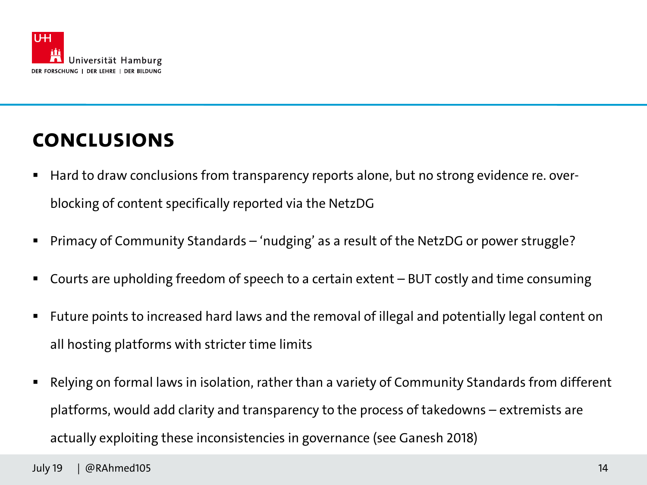

### **Conclusions**

- Hard to draw conclusions from transparency reports alone, but no strong evidence re. overblocking of content specifically reported via the NetzDG
- § Primacy of Community Standards 'nudging' as a result of the NetzDG or power struggle?
- Courts are upholding freedom of speech to a certain extent BUT costly and time consuming
- Future points to increased hard laws and the removal of illegal and potentially legal content on all hosting platforms with stricter time limits
- Relying on formal laws in isolation, rather than a variety of Community Standards from different platforms, would add clarity and transparency to the process of takedowns – extremists are actually exploiting these inconsistencies in governance (see Ganesh 2018)